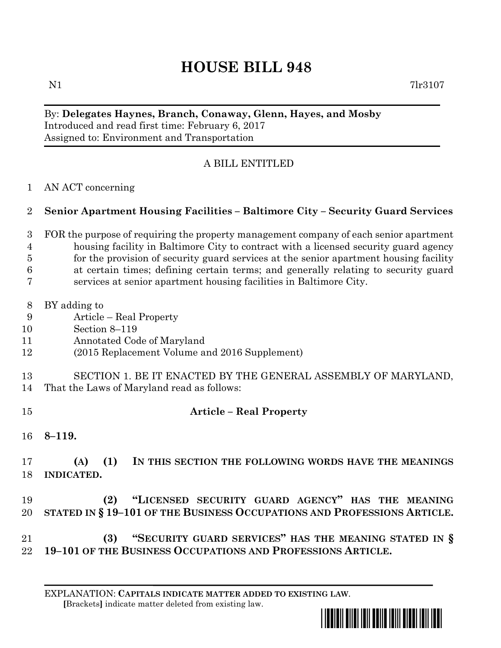## **HOUSE BILL 948**

## By: **Delegates Haynes, Branch, Conaway, Glenn, Hayes, and Mosby** Introduced and read first time: February 6, 2017 Assigned to: Environment and Transportation

## A BILL ENTITLED

AN ACT concerning

## **Senior Apartment Housing Facilities – Baltimore City – Security Guard Services**

- FOR the purpose of requiring the property management company of each senior apartment housing facility in Baltimore City to contract with a licensed security guard agency for the provision of security guard services at the senior apartment housing facility at certain times; defining certain terms; and generally relating to security guard services at senior apartment housing facilities in Baltimore City.
- BY adding to
- Article Real Property
- Section 8–119
- Annotated Code of Maryland
- (2015 Replacement Volume and 2016 Supplement)
- SECTION 1. BE IT ENACTED BY THE GENERAL ASSEMBLY OF MARYLAND,
- That the Laws of Maryland read as follows:
- **Article – Real Property**
- 

- **8–119.**
- **(A) (1) IN THIS SECTION THE FOLLOWING WORDS HAVE THE MEANINGS INDICATED.**
- **(2) "LICENSED SECURITY GUARD AGENCY" HAS THE MEANING STATED IN § 19–101 OF THE BUSINESS OCCUPATIONS AND PROFESSIONS ARTICLE.**
- **(3) "SECURITY GUARD SERVICES" HAS THE MEANING STATED IN § 19–101 OF THE BUSINESS OCCUPATIONS AND PROFESSIONS ARTICLE.**
	- EXPLANATION: **CAPITALS INDICATE MATTER ADDED TO EXISTING LAW**.  **[**Brackets**]** indicate matter deleted from existing law.